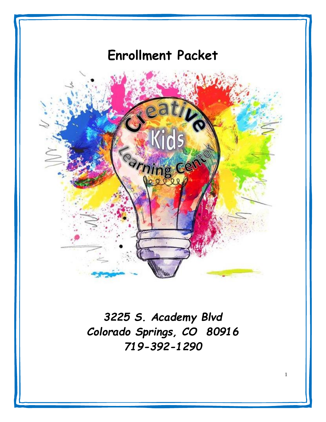# **Enrollment Packet**



*3225 S. Academy Blvd Colorado Springs, CO 80916 719-392-1290*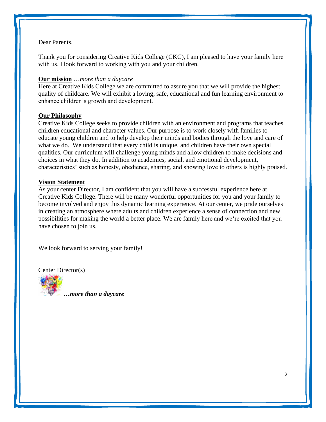# Dear Parents,

Thank you for considering Creative Kids College (CKC), I am pleased to have your family here with us. I look forward to working with you and your children.

# **Our mission** …*more than a daycare*

Here at Creative Kids College we are committed to assure you that we will provide the highest quality of childcare. We will exhibit a loving, safe, educational and fun learning environment to enhance children's growth and development.

# **Our Philosophy**

Creative Kids College seeks to provide children with an environment and programs that teaches children educational and character values. Our purpose is to work closely with families to educate young children and to help develop their minds and bodies through the love and care of what we do. We understand that every child is unique, and children have their own special qualities. Our curriculum will challenge young minds and allow children to make decisions and choices in what they do. In addition to academics, social, and emotional development, characteristics' such as honesty, obedience, sharing, and showing love to others is highly praised.

# **Vision Statement**

As your center Director, I am confident that you will have a successful experience here at Creative Kids College. There will be many wonderful opportunities for you and your family to become involved and enjoy this dynamic learning experience. At our center, we pride ourselves in creating an atmosphere where adults and children experience a sense of connection and new possibilities for making the world a better place. We are family here and we're excited that you have chosen to join us.

We look forward to serving your family!

Center Director(s)



*…more than a daycare*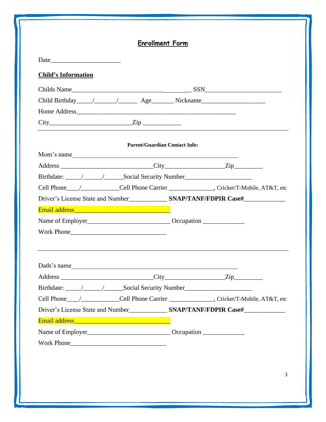|                            | <b>Enrollment Form</b>               |                                                                                                      |
|----------------------------|--------------------------------------|------------------------------------------------------------------------------------------------------|
| Date                       |                                      |                                                                                                      |
| <b>Child's Information</b> |                                      |                                                                                                      |
|                            |                                      |                                                                                                      |
|                            |                                      |                                                                                                      |
|                            | Home Address                         |                                                                                                      |
|                            | $City$ $Zip$                         |                                                                                                      |
|                            |                                      |                                                                                                      |
|                            | <b>Parent/Guardian Contact Info:</b> |                                                                                                      |
|                            | Mom's name                           |                                                                                                      |
|                            |                                      |                                                                                                      |
|                            |                                      |                                                                                                      |
|                            |                                      |                                                                                                      |
|                            |                                      |                                                                                                      |
|                            |                                      |                                                                                                      |
|                            |                                      |                                                                                                      |
|                            |                                      |                                                                                                      |
|                            |                                      |                                                                                                      |
|                            |                                      |                                                                                                      |
|                            | Dads's name                          |                                                                                                      |
|                            |                                      |                                                                                                      |
|                            |                                      |                                                                                                      |
|                            |                                      | Cell Phone Carrier ________________Cell Phone Carrier _________________, Cricket/T-Mobile, AT&T, etc |
|                            |                                      |                                                                                                      |
|                            |                                      |                                                                                                      |
|                            |                                      |                                                                                                      |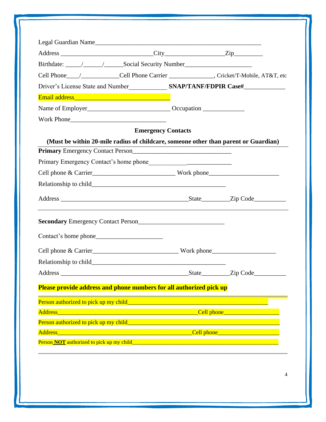| Legal Guardian Name                                                                                                                                                                                                                                  |                                                                                                                       |                                        |
|------------------------------------------------------------------------------------------------------------------------------------------------------------------------------------------------------------------------------------------------------|-----------------------------------------------------------------------------------------------------------------------|----------------------------------------|
|                                                                                                                                                                                                                                                      |                                                                                                                       |                                        |
| Cell Phone Carrier _______________Cell Phone Carrier ________________, Cricket/T-Mobile, AT&T, etc                                                                                                                                                   |                                                                                                                       |                                        |
| Driver's License State and Number SNAP/TANF/FDPIR Case#                                                                                                                                                                                              |                                                                                                                       |                                        |
|                                                                                                                                                                                                                                                      |                                                                                                                       |                                        |
|                                                                                                                                                                                                                                                      |                                                                                                                       |                                        |
|                                                                                                                                                                                                                                                      |                                                                                                                       |                                        |
|                                                                                                                                                                                                                                                      | <b>Emergency Contacts</b>                                                                                             |                                        |
| (Must be within 20-mile radius of childcare, someone other than parent or Guardian)                                                                                                                                                                  |                                                                                                                       |                                        |
| Primary Emergency Contact Person<br><u>[</u> [16] Denoted Primary Emergency Contact Person<br><u>[</u> [16] Denoted Primary Emergency Contact Person<br>[26] Denoted Person<br>[26] Denoted Primary Emergency Contact Person<br>[26] Denoted Primary |                                                                                                                       |                                        |
|                                                                                                                                                                                                                                                      |                                                                                                                       |                                        |
|                                                                                                                                                                                                                                                      |                                                                                                                       |                                        |
|                                                                                                                                                                                                                                                      |                                                                                                                       |                                        |
|                                                                                                                                                                                                                                                      |                                                                                                                       |                                        |
| Secondary Emergency Contact Person<br><u>Land Contact Person</u>                                                                                                                                                                                     |                                                                                                                       |                                        |
|                                                                                                                                                                                                                                                      |                                                                                                                       |                                        |
| Cell phone & Carrier North Work phone North Phone North Phone North Phone North Phone North Phone North Phone North Phone North Phone North Phone North Phone North Phone North Phone North Phone North Phone North Phone Nort                       |                                                                                                                       |                                        |
| Relationship to child_                                                                                                                                                                                                                               |                                                                                                                       |                                        |
|                                                                                                                                                                                                                                                      |                                                                                                                       | State Zip Code                         |
| Please provide address and phone numbers for all authorized pick up                                                                                                                                                                                  |                                                                                                                       |                                        |
| Person authorized to pick up my child <b>Exercise 2018</b> Contains the contact to the contact the contact of the contact of the contact of the contact of the contact of the contact of the contact of the contact of the contact                   |                                                                                                                       |                                        |
| <b>Address</b>                                                                                                                                                                                                                                       | <u> 1990 - Johann John Stone, mars anders som blev store og det blev som blev som blev som blev som blev som blev</u> | <u>Cell phone ____________________</u> |
|                                                                                                                                                                                                                                                      |                                                                                                                       |                                        |
| Person authorized to pick up my child______                                                                                                                                                                                                          |                                                                                                                       |                                        |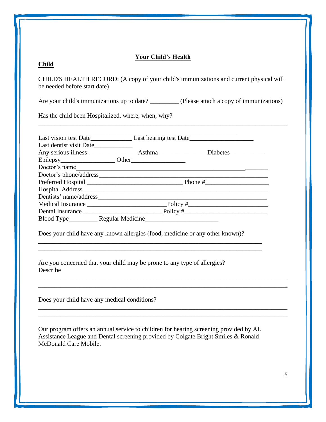# **Your Child's Health**

# **Child**

CHILD'S HEALTH RECORD: (A copy of your child's immunizations and current physical will be needed before start date)

Are your child's immunizations up to date? \_\_\_\_\_\_\_\_\_ (Please attach a copy of immunizations)

\_\_\_\_\_\_\_\_\_\_\_\_\_\_\_\_\_\_\_\_\_\_\_\_\_\_\_\_\_\_\_\_\_\_\_\_\_\_\_\_\_\_\_\_\_\_\_\_\_\_\_\_\_\_\_\_\_\_\_\_\_\_\_\_\_\_\_\_\_\_\_\_\_\_\_\_\_\_

Has the child been Hospitalized, where, when, why?

| Last dentist visit Date |                                                                               |               |
|-------------------------|-------------------------------------------------------------------------------|---------------|
|                         |                                                                               |               |
|                         |                                                                               |               |
|                         |                                                                               | Doctor's name |
|                         |                                                                               |               |
|                         |                                                                               |               |
|                         |                                                                               |               |
|                         |                                                                               |               |
|                         |                                                                               |               |
|                         |                                                                               |               |
|                         |                                                                               |               |
|                         |                                                                               |               |
|                         | Does your child have any known allergies (food, medicine or any other known)? |               |
| Describe                | Are you concerned that your child may be prone to any type of allergies?      |               |

Our program offers an annual service to children for hearing screening provided by AL Assistance League and Dental screening provided by Colgate Bright Smiles & Ronald McDonald Care Mobile.

\_\_\_\_\_\_\_\_\_\_\_\_\_\_\_\_\_\_\_\_\_\_\_\_\_\_\_\_\_\_\_\_\_\_\_\_\_\_\_\_\_\_\_\_\_\_\_\_\_\_\_\_\_\_\_\_\_\_\_\_\_\_\_\_\_\_\_\_\_\_\_\_\_\_\_\_\_\_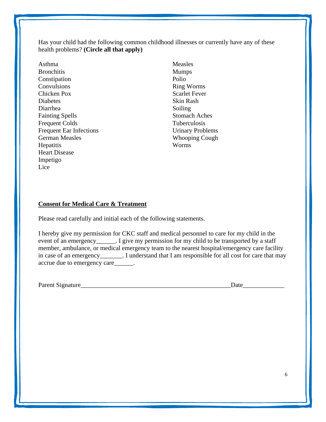Has your child had the following common childhood illnesses or currently have any of these health problems? **(Circle all that apply)** 

Asthma **Bronchitis** Constipation **Convulsions** Chicken Pox **Diabetes** Diarrhea Fainting Spells Frequent Colds Frequent Ear Infections German Measles **Hepatitis** Heart Disease Impetigo Lice

Measles Mumps Polio Ring Worms Scarlet Fever Skin Rash Soiling Stomach Aches Tuberculosis Urinary Problems Whooping Cough Worms

# **Consent for Medical Care & Treatment**

Please read carefully and initial each of the following statements.

I hereby give my permission for CKC staff and medical personnel to care for my child in the event of an emergency\_\_\_\_\_\_. I give my permission for my child to be transported by a staff member, ambulance, or medical emergency team to the nearest hospital/emergency care facility in case of an emergency\_\_\_\_\_\_\_. I understand that I am responsible for all cost for care that may accrue due to emergency care\_\_\_\_\_\_.

Parent Signature\_\_\_\_\_\_\_\_\_\_\_\_\_\_\_\_\_\_\_\_\_\_\_\_\_\_\_\_\_\_\_\_\_\_\_\_\_\_\_\_\_\_\_\_\_\_\_Date\_\_\_\_\_\_\_\_\_\_\_\_\_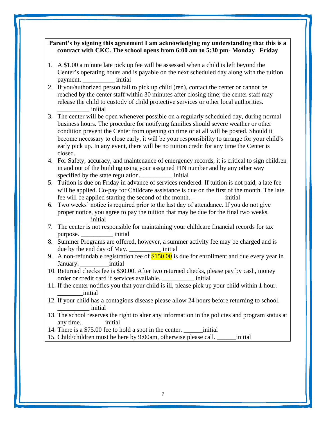# **Parent's by signing this agreement I am acknowledging my understanding that this is a contract with CKC. The school opens from 6:00 am to 5:30 pm- Monday –Friday**

- 1. A \$1.00 a minute late pick up fee will be assessed when a child is left beyond the Center's operating hours and is payable on the next scheduled day along with the tuition payment. \_\_\_\_\_\_\_\_\_\_ initial
- 2. If you/authorized person fail to pick up child (ren), contact the center or cannot be reached by the center staff within 30 minutes after closing time; the center staff may release the child to custody of child protective services or other local authorities. \_\_\_\_\_\_\_\_\_\_ initial
- 3. The center will be open whenever possible on a regularly scheduled day, during normal business hours. The procedure for notifying families should severe weather or other condition prevent the Center from opening on time or at all will be posted. Should it become necessary to close early, it will be your responsibility to arrange for your child's early pick up. In any event, there will be no tuition credit for any time the Center is closed.
- 4. For Safety, accuracy, and maintenance of emergency records, it is critical to sign children in and out of the building using your assigned PIN number and by any other way specified by the state regulation.  $\qquad \qquad$  initial
- 5. Tuition is due on Friday in advance of services rendered. If tuition is not paid, a late fee will be applied. Co-pay for Childcare assistance is due on the first of the month. The late fee will be applied starting the second of the month. \_\_\_\_\_\_\_\_\_\_ initial
- 6. Two weeks' notice is required prior to the last day of attendance. If you do not give proper notice, you agree to pay the tuition that may be due for the final two weeks. \_\_\_\_\_\_\_\_\_\_ initial
- 7. The center is not responsible for maintaining your childcare financial records for tax purpose. \_\_\_\_\_\_\_\_\_\_ initial
- 8. Summer Programs are offered, however, a summer activity fee may be charged and is due by the end day of May.  $\qquad \qquad$  initial
- 9. A non-refundable registration fee of  $$150.00$  is due for enrollment and due every year in January. \_\_\_\_\_\_\_\_\_initial
- 10. Returned checks fee is \$30.00. After two returned checks, please pay by cash, money order or credit card if services available. \_\_\_\_\_\_\_\_\_\_ initial
- 11. If the center notifies you that your child is ill, please pick up your child within 1 hour. \_\_\_\_\_\_\_\_initial
- 12. If your child has a contagious disease please allow 24 hours before returning to school. \_\_\_\_\_\_\_\_\_\_ initial
- 13. The school reserves the right to alter any information in the policies and program status at any time. \_\_\_\_\_\_\_initial
- 14. There is a \$75.00 fee to hold a spot in the center. \_\_\_\_\_\_initial
- 15. Child/children must be here by 9:00am, otherwise please call. \_\_\_\_\_\_initial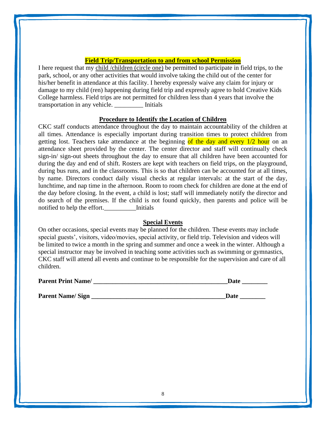# **Field Trip/Transportation to and from school Permission**

I here request that my child /children (circle one) be permitted to participate in field trips, to the park, school, or any other activities that would involve taking the child out of the center for his/her benefit in attendance at this facility. I hereby expressly waive any claim for injury or damage to my child (ren) happening during field trip and expressly agree to hold Creative Kids College harmless. Field trips are not permitted for children less than 4 years that involve the transportation in any vehicle. \_\_\_\_\_\_\_\_\_ Initials

# **Procedure to Identify the Location of Children**

CKC staff conducts attendance throughout the day to maintain accountability of the children at all times. Attendance is especially important during transition times to protect children from getting lost. Teachers take attendance at the beginning of the day and every 1/2 hour on an attendance sheet provided by the center. The center director and staff will continually check sign-in/ sign-out sheets throughout the day to ensure that all children have been accounted for during the day and end of shift. Rosters are kept with teachers on field trips, on the playground, during bus runs, and in the classrooms. This is so that children can be accounted for at all times, by name. Directors conduct daily visual checks at regular intervals: at the start of the day, lunchtime, and nap time in the afternoon. Room to room check for children are done at the end of the day before closing. In the event, a child is lost; staff will immediately notify the director and do search of the premises. If the child is not found quickly, then parents and police will be notified to help the effort. Initials

# **Special Events**

On other occasions, special events may be planned for the children. These events may include special guests', visitors, video/movies, special activity, or field trip. Television and videos will be limited to twice a month in the spring and summer and once a week in the winter. Although a special instructor may be involved in teaching some activities such as swimming or gymnastics, CKC staff will attend all events and continue to be responsible for the supervision and care of all children.

| <b>Parent Print Name/</b> |  |  |
|---------------------------|--|--|
|                           |  |  |

|  | <b>Parent Name/Sign</b> |  |  |
|--|-------------------------|--|--|
|--|-------------------------|--|--|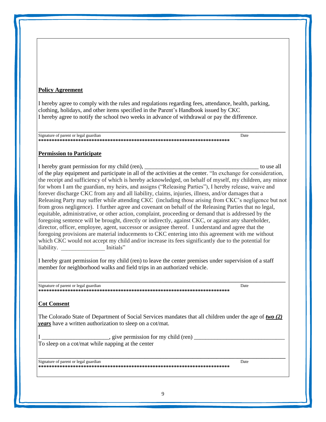#### **Policy Agreement**

I hereby agree to comply with the rules and regulations regarding fees, attendance, health, parking, clothing, holidays, and other items specified in the Parent's Handbook issued by CKC I hereby agree to notify the school two weeks in advance of withdrawal or pay the difference.

**\_\_\_\_\_\_\_\_\_\_\_\_\_\_\_\_\_\_\_\_\_\_\_\_\_\_\_\_\_\_\_\_\_\_\_\_\_\_\_\_\_\_\_\_\_\_\_\_\_\_\_\_\_\_\_\_\_\_\_\_\_\_\_\_\_\_\_\_\_\_\_\_\_\_\_\_\_\_\_\_\_\_\_\_\_\_\_\_\_\_\_\_\_**

Signature of parent or legal guardian Date by the state of parent or legal guardian Date **\*\*\*\*\*\*\*\*\*\*\*\*\*\*\*\*\*\*\*\*\*\*\*\*\*\*\*\*\*\*\*\*\*\*\*\*\*\*\*\*\*\*\*\*\*\*\*\*\*\*\*\*\*\*\*\*\*\*\*\*\*\*\*\*\*\*\*\*\*\*\*\***

# **Permission to Participate**

I hereby grant permission for my child (ren), the state of the state of the state of the state of the state of the state of the state of the state of the state of the state of the state of the state of the state of the sta of the play equipment and participate in all of the activities at the center. "In exchange for consideration, the receipt and sufficiency of which is hereby acknowledged, on behalf of myself, my children, any minor for whom I am the guardian, my heirs, and assigns ("Releasing Parties"), I hereby release, waive and forever discharge CKC from any and all liability, claims, injuries, illness, and/or damages that a Releasing Party may suffer while attending CKC (including those arising from CKC's negligence but not from gross negligence). I further agree and covenant on behalf of the Releasing Parties that no legal, equitable, administrative, or other action, complaint, proceeding or demand that is addressed by the foregoing sentence will be brought, directly or indirectly, against CKC, or against any shareholder, director, officer, employee, agent, successor or assignee thereof. I understand and agree that the foregoing provisions are material inducements to CKC entering into this agreement with me without which CKC would not accept my child and/or increase its fees significantly due to the potential for liability. Thitials"

I hereby grant permission for my child (ren) to leave the center premises under supervision of a staff member for neighborhood walks and field trips in an authorized vehicle.

**\_\_\_\_\_\_\_\_\_\_\_\_\_\_\_\_\_\_\_\_\_\_\_\_\_\_\_\_\_\_\_\_\_\_\_\_\_\_\_\_\_\_\_\_\_\_\_\_\_\_\_\_\_\_\_\_\_\_\_\_\_\_\_\_\_\_\_\_\_\_\_\_\_\_\_\_\_\_\_\_\_\_\_\_\_\_\_\_\_\_\_\_\_**

Signature of parent or legal guardian Date of the United States of Date of the Date of the Date of the Date of the Date of the Date of the Date of the Date of the Date of the Date of the Date of the Date of the Date of the **\*\*\*\*\*\*\*\*\*\*\*\*\*\*\*\*\*\*\*\*\*\*\*\*\*\*\*\*\*\*\*\*\*\*\*\*\*\*\*\*\*\*\*\*\*\*\*\*\*\*\*\*\*\*\*\*\*\*\*\*\*\*\*\*\*\*\*\*\*\*\*\***

#### **Cot Consent**

The Colorado State of Department of Social Services mandates that all children under the age of *two (2) years* have a written authorization to sleep on a cot/mat.

 $\equiv$ , give permission for my child (ren)  $\equiv$ To sleep on a cot/mat while napping at the center

Signature of parent or legal guardian Date of the United States of Date of the Date of the Date of the Date of the Date of the Date of the Date of the Date of the Date of the Date of the Date of the Date of the Date of the **\*\*\*\*\*\*\*\*\*\*\*\*\*\*\*\*\*\*\*\*\*\*\*\*\*\*\*\*\*\*\*\*\*\*\*\*\*\*\*\*\*\*\*\*\*\*\*\*\*\*\*\*\*\*\*\*\*\*\*\*\*\*\*\*\*\*\*\*\*\*\*\***

**\_\_\_\_\_\_\_\_\_\_\_\_\_\_\_\_\_\_\_\_\_\_\_\_\_\_\_\_\_\_\_\_\_\_\_\_\_\_\_\_\_\_\_\_\_\_\_\_\_\_\_\_\_\_\_\_\_\_\_\_\_\_\_\_\_\_\_\_\_\_\_\_\_\_\_\_\_\_\_\_\_\_\_\_\_\_\_\_\_\_\_\_\_**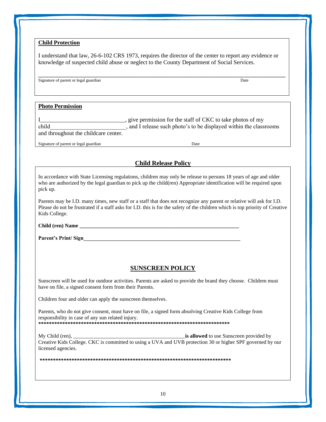# **Child Protection**

I understand that law, 26-6-102 CRS 1973, requires the director of the center to report any evidence or knowledge of suspected child abuse or neglect to the County Department of Social Services.

**\_\_\_\_\_\_\_\_\_\_\_\_\_\_\_\_\_\_\_\_\_\_\_\_\_\_\_\_\_\_\_\_\_\_\_\_\_\_\_\_\_\_\_\_\_\_\_\_\_\_\_\_\_\_\_\_\_\_\_\_\_\_\_\_\_\_\_\_\_\_\_\_\_\_\_\_\_\_\_\_\_\_\_\_\_\_\_\_\_\_\_\_\_**

Signature of parent or legal guardian Date by the state of parent or legal guardian Date

#### **Photo Permission**

I\_\_\_\_\_\_\_\_\_\_\_\_\_\_\_\_\_\_\_\_\_\_\_\_\_\_\_\_\_, give permission for the staff of CKC to take photos of my child child child child child child child child child child child child child child child child child child child child child child child child child child child child child child child child child child child child child and throughout the childcare center.

Signature of parent or legal guardian Date

# **Child Release Policy**

In accordance with State Licensing regulations, children may only be release to persons 18 years of age and older who are authorized by the legal guardian to pick up the child(ren) Appropriate identification will be required upon pick up.

Parents may be I.D. many times, new staff or a staff that does not recognize any parent or relative will ask for I.D. Please do not be frustrated if a staff asks for I.D. this is for the safety of the children which is top priority of Creative Kids College.

**Child (ren) Name \_\_\_\_\_\_\_\_\_\_\_\_\_\_\_\_\_\_\_\_\_\_\_\_\_\_\_\_\_\_\_\_\_\_\_\_\_\_\_\_\_\_\_\_\_\_\_\_\_\_\_\_\_\_\_\_\_\_\_\_**

Parent's Print/ Sign

# **SUNSCREEN POLICY**

Sunscreen will be used for outdoor activities. Parents are asked to provide the brand they choose. Children must have on file, a signed consent form from their Parents.

Children four and older can apply the sunscreen themselves.

Parents, who do not give consent, must have on file, a signed form absolving Creative Kids College from responsibility in case of any sun related injury.

**\*\*\*\*\*\*\*\*\*\*\*\*\*\*\*\*\*\*\*\*\*\*\*\*\*\*\*\*\*\*\*\*\*\*\*\*\*\*\*\*\*\*\*\*\*\*\*\*\*\*\*\*\*\*\*\*\*\*\*\*\*\*\*\*\*\*\*\*\*\*\*\***

My Child (ren), **My** Child (ren), **and the support of the support of the support of the support of the support of the support of the support of the support of the support of the support of the support of the support of the** Creative Kids College. CKC is committed to using a UVA and UVB protection 30 or higher SPF governed by our licensed agencies.

**\*\*\*\*\*\*\*\*\*\*\*\*\*\*\*\*\*\*\*\*\*\*\*\*\*\*\*\*\*\*\*\*\*\*\*\*\*\*\*\*\*\*\*\*\*\*\*\*\*\*\*\*\*\*\*\*\*\*\*\*\*\*\*\*\*\*\*\*\*\*\*\***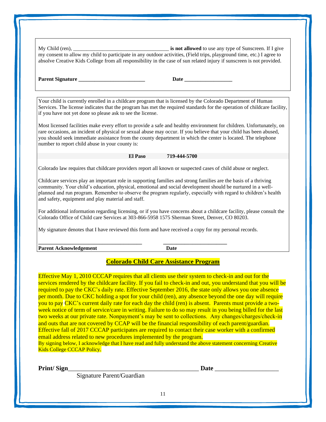My Child (ren), \_\_\_\_\_\_\_\_\_\_\_\_\_\_\_\_\_\_\_\_\_\_\_\_\_\_\_\_\_\_\_\_\_\_\_\_ **is not allowed** to use any type of Sunscreen. If I give my consent to allow my child to participate in any outdoor activities, (Field trips, playground time, etc.) I agree to absolve Creative Kids College from all responsibility in the case of sun related injury if sunscreen is not provided.

| <b>Parent Signature</b> |  |
|-------------------------|--|

**Pate**  $\blacksquare$ 

Your child is currently enrolled in a childcare program that is licensed by the Colorado Department of Human Services. The license indicates that the program has met the required standards for the operation of childcare facility, if you have not yet done so please ask to see the license.

Most licensed facilities make every effort to provide a safe and healthy environment for children. Unfortunately, on rare occasions, an incident of physical or sexual abuse may occur. If you believe that your child has been abused, you should seek immediate assistance from the county department in which the center is located. The telephone number to report child abuse in your county is:

**El Paso 719-444-5700**

Colorado law requires that childcare providers report all known or suspected cases of child abuse or neglect.

Childcare services play an important role in supporting families and strong families are the basis of a thriving community. Your child's education, physical, emotional and social development should be nurtured in a wellplanned and run program. Remember to observe the program regularly, especially with regard to children's health and safety, equipment and play material and staff.

For additional information regarding licensing, or if you have concerns about a childcare facility, please consult the Colorado Office of Child care Services at 303-866-5958 1575 Sherman Street, Denver, CO 80203.

My signature denotes that I have reviewed this form and have received a copy for my personal records.

| <b>Parent Acknowledgement</b> | Date |
|-------------------------------|------|

# **Colorado Child Care Assistance Program**

Effective May 1, 2010 CCCAP requires that all clients use their system to check-in and out for the services rendered by the childcare facility. If you fail to check-in and out, you understand that you will be required to pay the CKC's daily rate. Effective September 2016, the state only allows you one absence per month. Due to CKC holding a spot for your child (ren), any absence beyond the one day will require you to pay CKC's current daily rate for each day the child (ren) is absent. Parents must provide a twoweek notice of term of service/care in writing. Failure to do so may result in you being billed for the last two weeks at our private rate. Nonpayment's may be sent to collections. Any changes/charges/check-in and outs that are not covered by CCAP will be the financial responsibility of each parent/guardian. Effective fall of 2017 CCCAP participates are required to contact their case worker with a confirmed email address related to new procedures implemented by the program. By signing below, I acknowledge that I have read and fully understand the above statement concerning Creative Kids College CCCAP Policy.

**Print/ Sign**\_\_\_\_\_\_\_\_\_\_\_\_\_\_\_\_\_\_\_\_\_\_\_\_\_\_\_\_\_\_\_\_\_\_\_\_\_\_\_\_\_ **Date** \_\_\_\_\_\_\_\_\_\_\_\_\_\_\_\_\_\_\_\_

Signature Parent/Guardian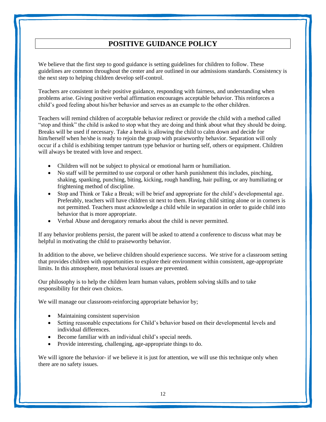# **POSITIVE GUIDANCE POLICY**

We believe that the first step to good guidance is setting guidelines for children to follow. These guidelines are common throughout the center and are outlined in our admissions standards. Consistency is the next step to helping children develop self-control.

Teachers are consistent in their positive guidance, responding with fairness, and understanding when problems arise. Giving positive verbal affirmation encourages acceptable behavior. This reinforces a child's good feeling about his/her behavior and serves as an example to the other children.

Teachers will remind children of acceptable behavior redirect or provide the child with a method called "stop and think" the child is asked to stop what they are doing and think about what they should be doing. Breaks will be used if necessary. Take a break is allowing the child to calm down and decide for him/herself when he/she is ready to rejoin the group with praiseworthy behavior. Separation will only occur if a child is exhibiting temper tantrum type behavior or hurting self, others or equipment. Children will always be treated with love and respect.

- Children will not be subject to physical or emotional harm or humiliation.
- No staff will be permitted to use corporal or other harsh punishment this includes, pinching, shaking, spanking, punching, biting, kicking, rough handling, hair pulling, or any humiliating or frightening method of discipline.
- Stop and Think or Take a Break; will be brief and appropriate for the child's developmental age. Preferably, teachers will have children sit next to them. Having child sitting alone or in corners is not permitted. Teachers must acknowledge a child while in separation in order to guide child into behavior that is more appropriate.
- Verbal Abuse and derogatory remarks about the child is never permitted.

If any behavior problems persist, the parent will be asked to attend a conference to discuss what may be helpful in motivating the child to praiseworthy behavior.

In addition to the above, we believe children should experience success. We strive for a classroom setting that provides children with opportunities to explore their environment within consistent, age-appropriate limits. In this atmosphere, most behavioral issues are prevented.

Our philosophy is to help the children learn human values, problem solving skills and to take responsibility for their own choices.

We will manage our classroom-reinforcing appropriate behavior by;

- Maintaining consistent supervision
- Setting reasonable expectations for Child's behavior based on their developmental levels and individual differences.
- Become familiar with an individual child's special needs.
- Provide interesting, challenging, age-appropriate things to do.

We will ignore the behavior- if we believe it is just for attention, we will use this technique only when there are no safety issues.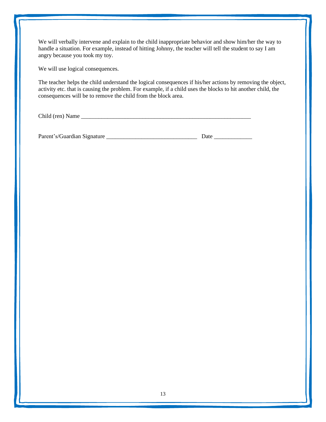We will verbally intervene and explain to the child inappropriate behavior and show him/her the way to handle a situation. For example, instead of hitting Johnny, the teacher will tell the student to say I am angry because you took my toy.

We will use logical consequences.

The teacher helps the child understand the logical consequences if his/her actions by removing the object, activity etc. that is causing the problem. For example, if a child uses the blocks to hit another child, the consequences will be to remove the child from the block area.

Child (ren) Name \_\_\_\_\_\_\_\_\_\_\_\_\_\_\_\_\_\_\_\_\_\_\_\_\_\_\_\_\_\_\_\_\_\_\_\_\_\_\_\_\_\_\_\_\_\_\_\_\_\_\_\_\_\_\_\_\_\_

Parent's/Guardian Signature \_\_\_\_\_\_\_\_\_\_\_\_\_\_\_\_\_\_\_\_\_\_\_\_\_\_\_\_\_\_\_ Date \_\_\_\_\_\_\_\_\_\_\_\_\_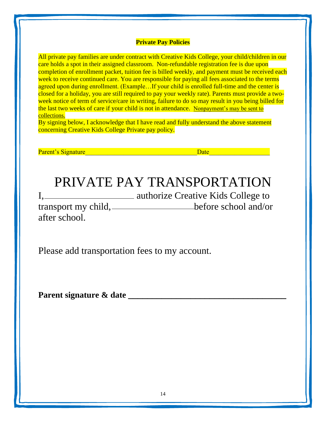# **Private Pay Policies**

All private pay families are under contract with Creative Kids College, your child/children in our care holds a spot in their assigned classroom. Non-refundable registration fee is due upon completion of enrollment packet, tuition fee is billed weekly, and payment must be received each week to receive continued care. You are responsible for paying all fees associated to the terms agreed upon during enrollment. (Example...If your child is enrolled full-time and the center is closed for a holiday, you are still required to pay your weekly rate). Parents must provide a twoweek notice of term of service/care in writing, failure to do so may result in you being billed for the last two weeks of care if your child is not in attendance. Nonpayment's may be sent to collections.

By signing below, I acknowledge that I have read and fully understand the above statement concerning Creative Kids College Private pay policy.

Parent's Signature and the contract of the contract of the contract of the contract of the contract of the contract of the contract of the contract of the contract of the contract of the contract of the contract of the con

# PRIVATE PAY TRANSPORTATION

I, authorize Creative Kids College to transport my child, before school and/or

after school.

Please add transportation fees to my account.

**Parent signature & date \_\_\_\_\_\_\_\_\_\_\_\_\_\_\_\_\_\_\_\_\_\_\_\_\_\_\_\_\_\_\_\_\_**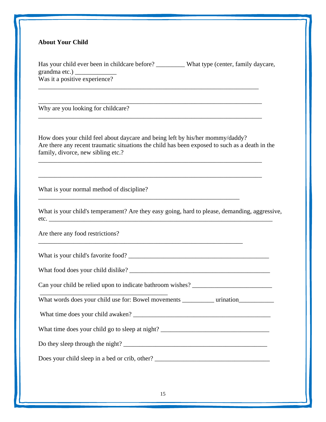# **About Your Child**

Has your child ever been in childcare before? \_\_\_\_\_\_\_\_\_ What type (center, family daycare, grandma etc.) \_\_\_\_\_\_\_\_\_\_\_\_\_ Was it a positive experience? \_\_\_\_\_\_\_\_\_\_\_\_\_\_\_\_\_\_\_\_\_\_\_\_\_\_\_\_\_\_\_\_\_\_\_\_\_\_\_\_\_\_\_\_\_\_\_\_\_\_\_\_\_\_\_\_\_\_\_\_\_\_\_\_\_\_\_\_\_

\_\_\_\_\_\_\_\_\_\_\_\_\_\_\_\_\_\_\_\_\_\_\_\_\_\_\_\_\_\_\_\_\_\_\_\_\_\_\_\_\_\_\_\_\_\_\_\_\_\_\_\_\_\_\_\_\_\_\_\_\_\_\_\_\_\_\_\_\_\_

\_\_\_\_\_\_\_\_\_\_\_\_\_\_\_\_\_\_\_\_\_\_\_\_\_\_\_\_\_\_\_\_\_\_\_\_\_\_\_\_\_\_\_\_\_\_\_\_\_\_\_\_\_\_\_\_\_\_\_\_\_\_\_\_\_\_\_\_\_\_

\_\_\_\_\_\_\_\_\_\_\_\_\_\_\_\_\_\_\_\_\_\_\_\_\_\_\_\_\_\_\_\_\_\_\_\_\_\_\_\_\_\_\_\_\_\_\_\_\_\_\_\_\_\_\_\_\_\_\_\_\_\_\_\_\_\_\_\_\_\_

\_\_\_\_\_\_\_\_\_\_\_\_\_\_\_\_\_\_\_\_\_\_\_\_\_\_\_\_\_\_\_\_\_\_\_\_\_\_\_\_\_\_\_\_\_\_\_\_\_\_\_\_\_\_\_\_\_\_\_\_\_\_\_\_\_\_\_\_\_\_

\_\_\_\_\_\_\_\_\_\_\_\_\_\_\_\_\_\_\_\_\_\_\_\_\_\_\_\_\_\_\_\_\_\_\_\_\_\_\_\_\_\_\_\_\_\_\_\_\_\_\_\_\_\_\_\_\_\_\_\_\_\_\_

\_\_\_\_\_\_\_\_\_\_\_\_\_\_\_\_\_\_\_\_\_\_\_\_\_\_\_\_\_\_\_\_\_\_\_\_\_\_\_\_\_\_\_\_\_\_\_\_\_\_\_\_\_\_\_\_\_\_\_\_\_\_\_\_

Why are you looking for childcare?

How does your child feel about daycare and being left by his/her mommy/daddy? Are there any recent traumatic situations the child has been exposed to such as a death in the family, divorce, new sibling etc.?

What is your normal method of discipline?

What is your child's temperament? Are they easy going, hard to please, demanding, aggressive, etc.  $\qquad$ 

Are there any food restrictions?

What is your child's favorite food?

What food does your child dislike?

Can your child be relied upon to indicate bathroom wishes? \_\_\_\_\_\_\_\_\_\_\_\_\_\_\_\_\_\_\_\_\_\_\_\_\_

What words does your child use for: Bowel movements wination

What time does your child awaken? \_\_\_\_\_\_\_\_\_\_\_\_\_\_\_\_\_\_\_\_\_\_\_\_\_\_\_\_\_\_\_\_\_\_\_\_\_\_\_\_\_\_\_

What time does your child go to sleep at night? \_\_\_\_\_\_\_\_\_\_\_\_\_\_\_\_\_\_\_\_\_\_\_\_\_\_\_\_\_\_\_\_\_

Do they sleep through the night?

Does your child sleep in a bed or crib, other? \_\_\_\_\_\_\_\_\_\_\_\_\_\_\_\_\_\_\_\_\_\_\_\_\_\_\_\_\_\_\_\_\_\_

\_\_\_\_\_\_\_\_\_\_\_\_\_\_\_\_\_\_\_\_\_\_\_\_\_\_\_\_\_\_\_\_\_\_\_\_\_\_\_\_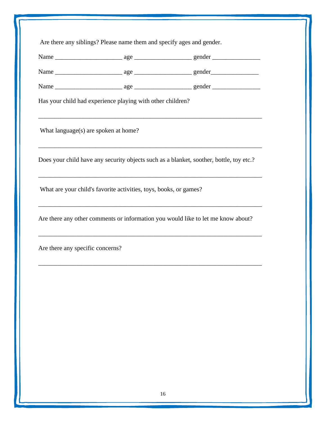|                                      | Has your child had experience playing with other children?        |                                                                                         |
|--------------------------------------|-------------------------------------------------------------------|-----------------------------------------------------------------------------------------|
| What language(s) are spoken at home? |                                                                   | ,我们也不能在这里的时候,我们也不能在这里的时候,我们也不能会在这里的时候,我们也不能会在这里的时候,我们也不能会在这里的时候,我们也不能会在这里的时候,我们也不       |
|                                      |                                                                   | Does your child have any security objects such as a blanket, soother, bottle, toy etc.? |
|                                      | What are your child's favorite activities, toys, books, or games? |                                                                                         |
|                                      |                                                                   | Are there any other comments or information you would like to let me know about?        |
| Are there any specific concerns?     |                                                                   | ,我们也不能在这里的时候,我们也不能在这里的时候,我们也不能会在这里的时候,我们也不能会在这里的时候,我们也不能会在这里的时候,我们也不能会在这里的时候,我们也不       |
|                                      |                                                                   |                                                                                         |
|                                      |                                                                   |                                                                                         |
|                                      |                                                                   |                                                                                         |
|                                      |                                                                   |                                                                                         |
|                                      |                                                                   |                                                                                         |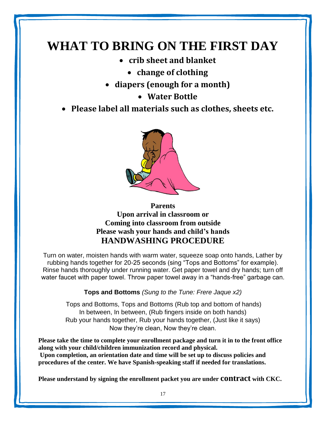# **WHAT TO BRING ON THE FIRST DAY**

- **crib sheet and blanket**
	- **change of clothing**
- **diapers (enough for a month)**
	- **Water Bottle**
- **Please label all materials such as clothes, sheets etc.**



**Parents Upon arrival in classroom or Coming into classroom from outside Please wash your hands and child's hands HANDWASHING PROCEDURE**

Turn on water, moisten hands with warm water, squeeze soap onto hands, Lather by rubbing hands together for 20-25 seconds (sing "Tops and Bottoms" for example). Rinse hands thoroughly under running water. Get paper towel and dry hands; turn off water faucet with paper towel. Throw paper towel away in a "hands-free" garbage can.

**Tops and Bottoms** *(Sung to the Tune: Frere Jaque x2)*

Tops and Bottoms, Tops and Bottoms (Rub top and bottom of hands) In between, In between, (Rub fingers inside on both hands) Rub your hands together, Rub your hands together, (Just like it says) Now they're clean, Now they're clean.

**Please take the time to complete your enrollment package and turn it in to the front office along with your child/children immunization record and physical. Upon completion, an orientation date and time will be set up to discuss policies and procedures of the center. We have Spanish-speaking staff if needed for translations.**

**Please understand by signing the enrollment packet you are under contract with CKC.**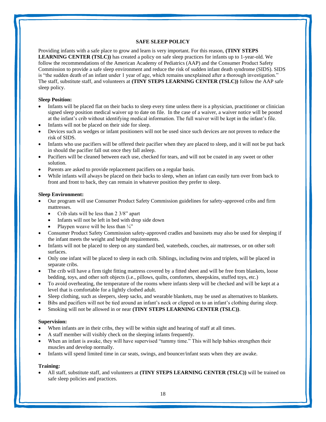#### **SAFE SLEEP POLICY**

Providing infants with a safe place to grow and learn is very important. For this reason, **(TINY STEPS LEARNING CENTER (TSLC))** has created a policy on safe sleep practices for infants up to 1-year-old. We follow the recommendations of the American Academy of Pediatrics (AAP) and the Consumer Product Safety Commission to provide a safe sleep environment and reduce the risk of sudden infant death syndrome (SIDS). SIDS is "the sudden death of an infant under 1 year of age, which remains unexplained after a thorough investigation." The staff, substitute staff, and volunteers at **(TINY STEPS LEARNING CENTER (TSLC))** follow the AAP safe sleep policy.

#### **Sleep Position:**

- Infants will be placed flat on their backs to sleep every time unless there is a physician, practitioner or clinician signed sleep position medical waiver up to date on file. In the case of a waiver, a waiver notice will be posted at the infant's crib without identifying medical information. The full waiver will be kept in the infant's file.
- Infants will not be placed on their side for sleep.
- Devices such as wedges or infant positioners will not be used since such devices are not proven to reduce the risk of SIDS.
- Infants who use pacifiers will be offered their pacifier when they are placed to sleep, and it will not be put back in should the pacifier fall out once they fall asleep.
- Pacifiers will be cleaned between each use, checked for tears, and will not be coated in any sweet or other solution.
- Parents are asked to provide replacement pacifiers on a regular basis.
- While infants will always be placed on their backs to sleep, when an infant can easily turn over from back to front and front to back, they can remain in whatever position they prefer to sleep.

#### **Sleep Environment:**

- Our program will use Consumer Product Safety Commission guidelines for safety-approved cribs and firm mattresses.
	- Crib slats will be less than 2 3/8" apart
	- Infants will not be left in bed with drop side down
	- Playpen weave will be less than  $\frac{1}{4}$ "
- Consumer Product Safety Commission safety-approved cradles and bassinets may also be used for sleeping if the infant meets the weight and height requirements.
- Infants will not be placed to sleep on any standard bed, waterbeds, couches, air mattresses, or on other soft surfaces.
- Only one infant will be placed to sleep in each crib. Siblings, including twins and triplets, will be placed in separate cribs.
- The crib will have a firm tight fitting mattress covered by a fitted sheet and will be free from blankets, loose bedding, toys, and other soft objects (i.e., pillows, quilts, comforters, sheepskins, stuffed toys, etc.)
- To avoid overheating, the temperature of the rooms where infants sleep will be checked and will be kept at a level that is comfortable for a lightly clothed adult.
- Sleep clothing, such as sleepers, sleep sacks, and wearable blankets, may be used as alternatives to blankets.
- Bibs and pacifiers will not be tied around an infant's neck or clipped on to an infant's clothing during sleep.
- Smoking will not be allowed in or near **(TINY STEPS LEARNING CENTER (TSLC))**.

#### **Supervision:**

- When infants are in their cribs, they will be within sight and hearing of staff at all times.
- A staff member will visibly check on the sleeping infants frequently.
- When an infant is awake, they will have supervised "tummy time." This will help babies strengthen their muscles and develop normally.
- Infants will spend limited time in car seats, swings, and bouncer/infant seats when they are awake.

#### **Training:**

• All staff, substitute staff, and volunteers at **(TINY STEPS LEARNING CENTER (TSLC))** will be trained on safe sleep policies and practices.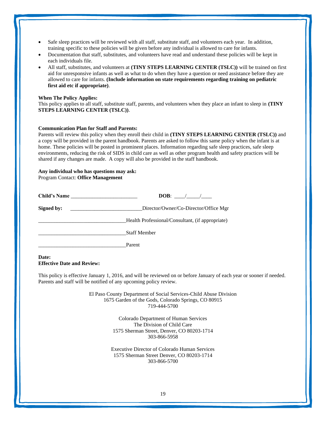- Safe sleep practices will be reviewed with all staff, substitute staff, and volunteers each year. In addition, training specific to these policies will be given before any individual is allowed to care for infants.
- Documentation that staff, substitutes, and volunteers have read and understand these policies will be kept in each individuals file.
- All staff, substitutes, and volunteers at **(TINY STEPS LEARNING CENTER (TSLC))** will be trained on first aid for unresponsive infants as well as what to do when they have a question or need assistance before they are allowed to care for infants. **(Include information on state requirements regarding training on pediatric first aid etc if appropriate)**.

#### **When The Policy Applies:**

This policy applies to all staff, substitute staff, parents, and volunteers when they place an infant to sleep in **(TINY STEPS LEARNING CENTER (TSLC))**.

#### **Communication Plan for Staff and Parents:**

Parents will review this policy when they enroll their child in **(TINY STEPS LEARNING CENTER (TSLC))** and a copy will be provided in the parent handbook. Parents are asked to follow this same policy when the infant is at home. These policies will be posted in prominent places. Information regarding safe sleep practices, safe sleep environments, reducing the risk of SIDS in child care as well as other program health and safety practices will be shared if any changes are made. A copy will also be provided in the staff handbook.

#### **Any individual who has questions may ask:**

Program Contact: **Office Management**

| Child's Name |                                                  |
|--------------|--------------------------------------------------|
| Signed by:   | Director/Owner/Co-Director/Office Mgr            |
|              | Health Professional/Consultant, (if appropriate) |
|              | <b>Staff Member</b>                              |
|              | Parent                                           |

#### **Date: Effective Date and Review:**

This policy is effective January 1, 2016, and will be reviewed on or before January of each year or sooner if needed. Parents and staff will be notified of any upcoming policy review.

> El Paso County Department of Social Services-Child Abuse Division 1675 Garden of the Gods, Colorado Springs, CO 80915 719-444-5700

> > Colorado Department of Human Services The Division of Child Care 1575 Sherman Street, Denver, CO 80203-1714 303-866-5958

Executive Director of Colorado Human Services 1575 Sherman Street Denver, CO 80203-1714 303-866-5700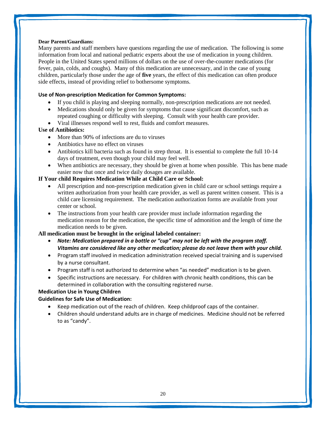#### **Dear Parent/Guardians:**

Many parents and staff members have questions regarding the use of medication. The following is some information from local and national pediatric experts about the use of medication in young children. People in the United States spend millions of dollars on the use of over-the-counter medications (for fever, pain, colds, and coughs). Many of this medication are unnecessary, and in the case of young children, particularly those under the age of **five** years, the effect of this medication can often produce side effects, instead of providing relief to bothersome symptoms.

# **Use of Non-prescription Medication for Common Symptoms:**

- If you child is playing and sleeping normally, non-prescription medications are not needed.
- Medications should only be given for symptoms that cause significant discomfort, such as repeated coughing or difficulty with sleeping. Consult with your health care provider.
- Viral illnesses respond well to rest, fluids and comfort measures.

# **Use of Antibiotics:**

- More than 90% of infections are du to viruses
- Antibiotics have no effect on viruses
- Antibiotics kill bacteria such as found in strep throat. It is essential to complete the full 10-14 days of treatment, even though your child may feel well.
- When antibiotics are necessary, they should be given at home when possible. This has bene made easier now that once and twice daily dosages are available.

# **If Your child Requires Medication While at Child Care or School:**

- All prescription and non-prescription medication given in child care or school settings require a written authorization from your health care provider, as well as parent written consent. This is a child care licensing requirement. The medication authorization forms are available from your center or school.
- The instructions from your health care provider must include information regarding the medication reason for the medication, the specific time of admonition and the length of time the medication needs to be given.

# **All medication must be brought in the original labeled container:**

- *Note: Medication prepared in a bottle or "cup" may not be left with the program staff. Vitamins are considered like any other medication; please do not leave them with your child.*
- Program staff involved in medication administration received special training and is supervised by a nurse consultant.
- Program staff is not authorized to determine when "as needed" medication is to be given.
- Specific instructions are necessary. For children with chronic health conditions, this can be determined in collaboration with the consulting registered nurse.

# **Medication Use in Young Children**

# **Guidelines for Safe Use of Medication:**

- Keep medication out of the reach of children. Keep childproof caps of the container.
- Children should understand adults are in charge of medicines. Medicine should not be referred to as "candy".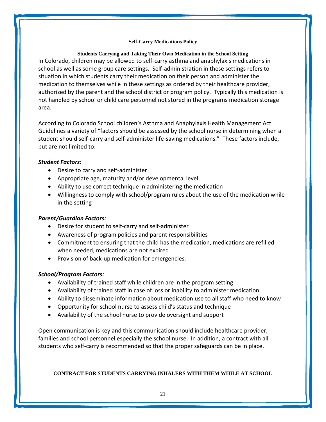# **Self-Carry Medications Policy**

# **Students Carrying and Taking Their Own Medication in the School Setting** In Colorado, children may be allowed to self-carry asthma and anaphylaxis medications in school as well as some group care settings. Self-administration in these settings refers to situation in which students carry their medication on their person and administer the medication to themselves while in these settings as ordered by their healthcare provider, authorized by the parent and the school district or program policy. Typically this medication is not handled by school or child care personnel not stored in the programs medication storage area.

According to Colorado School children's Asthma and Anaphylaxis Health Management Act Guidelines a variety of "factors should be assessed by the school nurse in determining when a student should self-carry and self-administer life-saving medications." These factors include, but are not limited to:

# *Student Factors:*

- Desire to carry and self-administer
- Appropriate age, maturity and/or developmental level
- Ability to use correct technique in administering the medication
- Willingness to comply with school/program rules about the use of the medication while in the setting

# *Parent/Guardian Factors:*

- Desire for student to self-carry and self-administer
- Awareness of program policies and parent responsibilities
- Commitment to ensuring that the child has the medication, medications are refilled when needed, medications are not expired
- Provision of back-up medication for emergencies.

# *School/Program Factors:*

- Availability of trained staff while children are in the program setting
- Availability of trained staff in case of loss or inability to administer medication
- Ability to disseminate information about medication use to all staff who need to know
- Opportunity for school nurse to assess child's status and technique
- Availability of the school nurse to provide oversight and support

Open communication is key and this communication should include healthcare provider, families and school personnel especially the school nurse. In addition, a contract with all students who self-carry is recommended so that the proper safeguards can be in place.

# **CONTRACT FOR STUDENTS CARRYING INHALERS WITH THEM WHILE AT SCHOOL**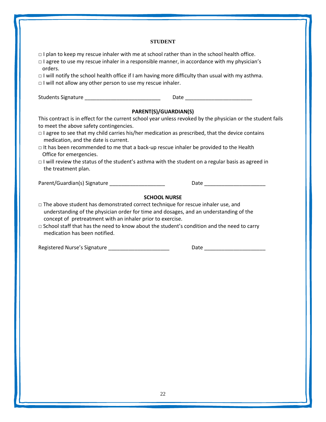# **STUDENT**

□ I plan to keep my rescue inhaler with me at school rather than in the school health office.

| □ l agree to use my rescue inhaler in a responsible manner, in accordance with my physician's<br>orders.                                                                                                                                                                                                                                                                              |  |
|---------------------------------------------------------------------------------------------------------------------------------------------------------------------------------------------------------------------------------------------------------------------------------------------------------------------------------------------------------------------------------------|--|
| $\Box$ I will notify the school health office if I am having more difficulty than usual with my asthma.<br>$\Box$ I will not allow any other person to use my rescue inhaler.                                                                                                                                                                                                         |  |
|                                                                                                                                                                                                                                                                                                                                                                                       |  |
| PARENT(S)/GUARDIAN(S)                                                                                                                                                                                                                                                                                                                                                                 |  |
| This contract is in effect for the current school year unless revoked by the physician or the student fails<br>to meet the above safety contingencies.                                                                                                                                                                                                                                |  |
| $\Box$ I agree to see that my child carries his/her medication as prescribed, that the device contains<br>medication, and the date is current.                                                                                                                                                                                                                                        |  |
| $\Box$ It has been recommended to me that a back-up rescue inhaler be provided to the Health<br>Office for emergencies.                                                                                                                                                                                                                                                               |  |
| $\Box$ I will review the status of the student's asthma with the student on a regular basis as agreed in<br>the treatment plan.                                                                                                                                                                                                                                                       |  |
| Parent/Guardian(s) Signature _____________________                                                                                                                                                                                                                                                                                                                                    |  |
| <b>SCHOOL NURSE</b>                                                                                                                                                                                                                                                                                                                                                                   |  |
| $\Box$ The above student has demonstrated correct technique for rescue inhaler use, and<br>understanding of the physician order for time and dosages, and an understanding of the<br>concept of pretreatment with an inhaler prior to exercise.<br>$\Box$ School staff that has the need to know about the student's condition and the need to carry<br>medication has been notified. |  |

Registered Nurse's Signature \_\_\_\_\_\_\_\_\_\_\_\_\_\_\_\_\_\_\_\_\_ Date \_\_\_\_\_\_\_\_\_\_\_\_\_\_\_\_\_\_\_\_\_